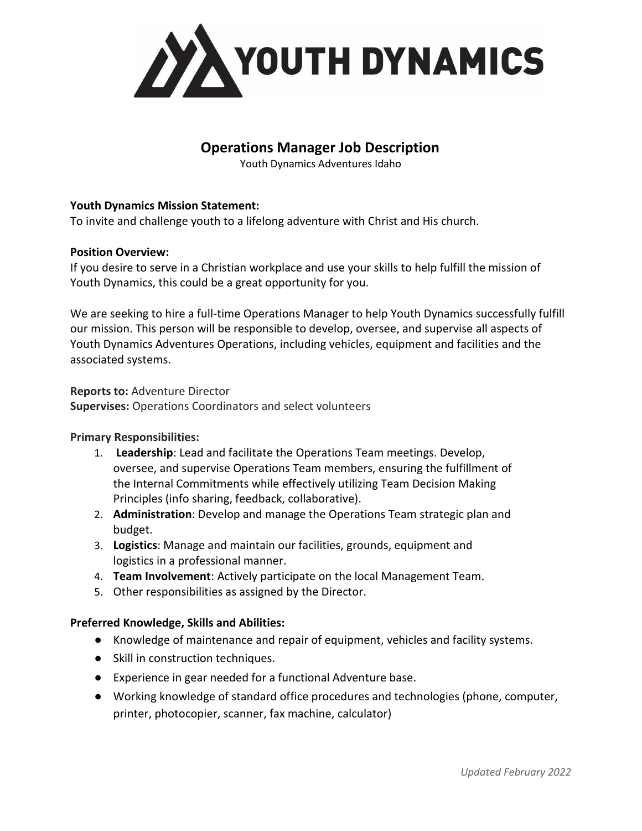

# **Operations Manager Job Description**

Youth Dynamics Adventures Idaho

## **Youth Dynamics Mission Statement:**

To invite and challenge youth to a lifelong adventure with Christ and His church.

## **Position Overview:**

If you desire to serve in a Christian workplace and use your skills to help fulfill the mission of Youth Dynamics, this could be a great opportunity for you.

We are seeking to hire a full-time Operations Manager to help Youth Dynamics successfully fulfill our mission. This person will be responsible to develop, oversee, and supervise all aspects of Youth Dynamics Adventures Operations, including vehicles, equipment and facilities and the associated systems.

**Reports to:** Adventure Director **Supervises:** Operations Coordinators and select volunteers

## **Primary Responsibilities:**

- 1. **Leadership**: Lead and facilitate the Operations Team meetings. Develop, oversee, and supervise Operations Team members, ensuring the fulfillment of the Internal Commitments while effectively utilizing Team Decision Making Principles (info sharing, feedback, collaborative).
- 2. **Administration**: Develop and manage the Operations Team strategic plan and budget.
- 3. **Logistics**: Manage and maintain our facilities, grounds, equipment and logistics in a professional manner.
- 4. **Team Involvement**: Actively participate on the local Management Team.
- 5. Other responsibilities as assigned by the Director.

## **Preferred Knowledge, Skills and Abilities:**

- Knowledge of maintenance and repair of equipment, vehicles and facility systems.
- Skill in construction techniques.
- Experience in gear needed for a functional Adventure base.
- Working knowledge of standard office procedures and technologies (phone, computer, printer, photocopier, scanner, fax machine, calculator)